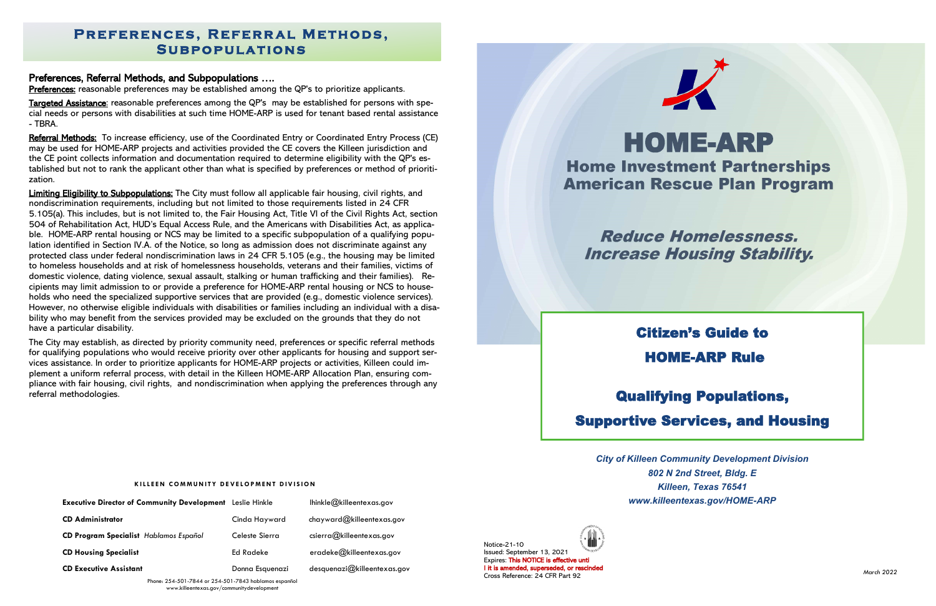#### Preferences, Referral Methods, and Subpopulations ….

Preferences: reasonable preferences may be established among the QP's to prioritize applicants.

Targeted Assistance: reasonable preferences among the QP's may be established for persons with special needs or persons with disabilities at such time HOME-ARP is used for tenant based rental assistance - TBRA.

Referral Methods: To increase efficiency, use of the Coordinated Entry or Coordinated Entry Process (CE) may be used for HOME-ARP projects and activities provided the CE covers the Killeen jurisdiction and the CE point collects information and documentation required to determine eligibility with the QP's established but not to rank the applicant other than what is specified by preferences or method of prioritization.

Limiting Eligibility to Subpopulations: The City must follow all applicable fair housing, civil rights, and nondiscrimination requirements, including but not limited to those requirements listed in 24 CFR 5.105(a). This includes, but is not limited to, the Fair Housing Act, Title VI of the Civil Rights Act, section 504 of Rehabilitation Act, HUD's Equal Access Rule, and the Americans with Disabilities Act, as applicable. HOME-ARP rental housing or NCS may be limited to a specific subpopulation of a qualifying population identified in Section IV.A. of the Notice, so long as admission does not discriminate against any protected class under federal nondiscrimination laws in 24 CFR 5.105 (e.g., the housing may be limited to homeless households and at risk of homelessness households, veterans and their families, victims of domestic violence, dating violence, sexual assault, stalking or human trafficking and their families). Recipients may limit admission to or provide a preference for HOME-ARP rental housing or NCS to households who need the specialized supportive services that are provided (e.g., domestic violence services). However, no otherwise eligible individuals with disabilities or families including an individual with a disability who may benefit from the services provided may be excluded on the grounds that they do not have a particular disability.

## **PREFERENCES, REFERRAL METHODS, S u b p o p u l a t i o n s**

The City may establish, as directed by priority community need, preferences or specific referral methods for qualifying populations who would receive priority over other applicants for housing and support services assistance. In order to prioritize applicants for HOME-ARP projects or activities, Killeen could implement a uniform referral process, with detail in the Killeen HOME-ARP Allocation Plan, ensuring compliance with fair housing, civil rights, and nondiscrimination when applying the preferences through any referral methodologies.



**Reduce Homelessness. Increase Housing Stability.** 

Phone: 254-501-7844 or 254-501-7843 hablamos espanñol www.killeentexas.gov/communitydevelopment



# **HOME-ARP Home Investment Partnerships American Rescue Plan Program**

| <b>Executive Director of Community Development</b> Leslie Hinkle |                 | lhinkle@killeentexas.gov          |
|------------------------------------------------------------------|-----------------|-----------------------------------|
| <b>CD Administrator</b>                                          | Cinda Hayward   | chayward@killeentexas.gov         |
| CD Program Specialist Hablamos Español                           | Celeste Sierra  | $c\text{sierra@killeentexas.gov}$ |
| <b>CD Housing Specialist</b>                                     | Ed Radeke       | eradeke@killeentexas.gov          |
| <b>CD Executive Assistant</b>                                    | Donna Esquenazi | desquenazi@killeentexas.gov       |

# Citizen's Guide to HOME-ARP Rule

# Qualifying Populations, Supportive Services, and Housing

*City of Killeen Community Development Division 802 N 2nd Street, Bldg. E Killeen, Texas 76541 www.killeentexas.gov/HOME-ARP*

Notice-21-10 Issued: September 13, 2021 Expires: This NOTICE is effective unti l it is amended, superseded, or rescinded Cross Reference: 24 CFR Part 92

#### **KILLEEN COMMUNITY DEVELOPMENT DIVISION**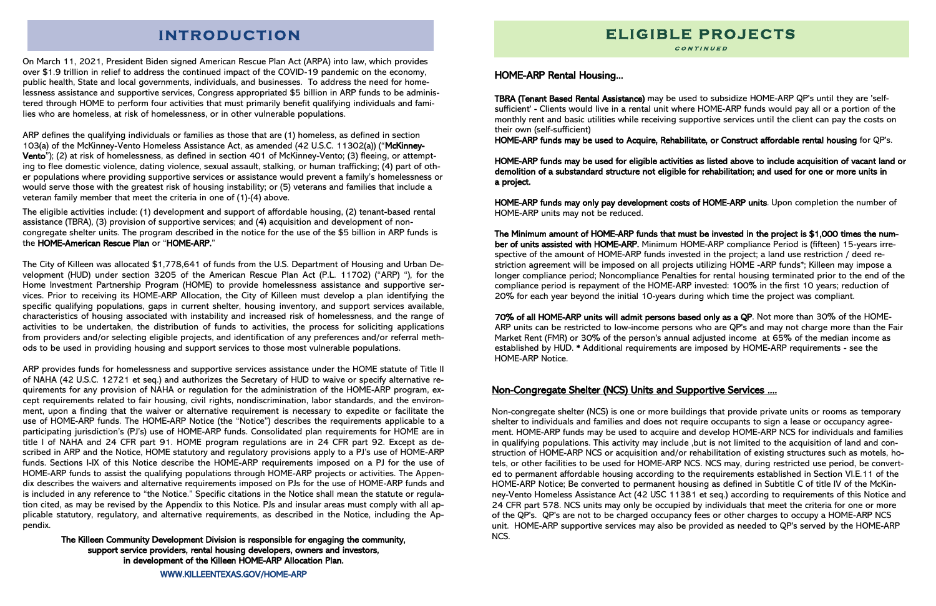## **INTRODUCTION**

On March 11, 2021, President Biden signed American Rescue Plan Act (ARPA) into law, which provides over \$1.9 trillion in relief to address the continued impact of the COVID-19 pandemic on the economy, public health, State and local governments, individuals, and businesses. To address the need for homelessness assistance and supportive services, Congress appropriated \$5 billion in ARP funds to be administered through HOME to perform four activities that must primarily benefit qualifying individuals and families who are homeless, at risk of homelessness, or in other vulnerable populations.

ARP defines the qualifying individuals or families as those that are (1) homeless, as defined in section 103(a) of the McKinney-Vento Homeless Assistance Act, as amended (42 U.S.C. 11302(a)) ("McKinney-Vento"); (2) at risk of homelessness, as defined in section 401 of McKinney-Vento; (3) fleeing, or attempting to flee domestic violence, dating violence, sexual assault, stalking, or human trafficking; (4) part of other populations where providing supportive services or assistance would prevent a family's homelessness or would serve those with the greatest risk of housing instability; or (5) veterans and families that include a veteran family member that meet the criteria in one of (1)-(4) above.

The eligible activities include: (1) development and support of affordable housing, (2) tenant-based rental assistance (TBRA), (3) provision of supportive services; and (4) acquisition and development of noncongregate shelter units. The program described in the notice for the use of the \$5 billion in ARP funds is the HOME-American Rescue Plan or "HOME-ARP."

The City of Killeen was allocated \$1,778,641 of funds from the U.S. Department of Housing and Urban Development (HUD) under section 3205 of the American Rescue Plan Act (P.L. 11702) ("ARP) "), for the Home Investment Partnership Program (HOME) to provide homelessness assistance and supportive services. Prior to receiving its HOME-ARP Allocation, the City of Killeen must develop a plan identifying the specific qualifying populations, gaps in current shelter, housing inventory, and support services available, characteristics of housing associated with instability and increased risk of homelessness, and the range of activities to be undertaken, the distribution of funds to activities, the process for soliciting applications from providers and/or selecting eligible projects, and identification of any preferences and/or referral methods to be used in providing housing and support services to those most vulnerable populations.

ARP provides funds for homelessness and supportive services assistance under the HOME statute of Title II of NAHA (42 U.S.C. 12721 et seq.) and authorizes the Secretary of HUD to waive or specify alternative requirements for any provision of NAHA or regulation for the administration of the HOME-ARP program, except requirements related to fair housing, civil rights, nondiscrimination, labor standards, and the environment, upon a finding that the waiver or alternative requirement is necessary to expedite or facilitate the use of HOME-ARP funds. The HOME-ARP Notice (the "Notice") describes the requirements applicable to a participating jurisdiction's (PJ's) use of HOME-ARP funds. Consolidated plan requirements for HOME are in title I of NAHA and 24 CFR part 91. HOME program regulations are in 24 CFR part 92. Except as described in ARP and the Notice, HOME statutory and regulatory provisions apply to a PJ's use of HOME-ARP funds. Sections I-IX of this Notice describe the HOME-ARP requirements imposed on a PJ for the use of HOME-ARP funds to assist the qualifying populations through HOME-ARP projects or activities. The Appendix describes the waivers and alternative requirements imposed on PJs for the use of HOME-ARP funds and is included in any reference to "the Notice." Specific citations in the Notice shall mean the statute or regulation cited, as may be revised by the Appendix to this Notice. PJs and insular areas must comply with all applicable statutory, regulatory, and alternative requirements, as described in the Notice, including the Appendix.

The Killeen Community Development Division is responsible for engaging the community, support service providers, rental housing developers, owners and investors, in development of the Killeen HOME-ARP Allocation Plan.

### Non-Congregate Shelter (NCS) Units and Supportive Services ....

Non-congregate shelter (NCS) is one or more buildings that provide private units or rooms as temporary shelter to individuals and families and does not require occupants to sign a lease or occupancy agreement. HOME-ARP funds may be used to acquire and develop HOME-ARP NCS for individuals and families in qualifying populations. This activity may include ,but is not limited to the acquisition of land and construction of HOME-ARP NCS or acquisition and/or rehabilitation of existing structures such as motels, hotels, or other facilities to be used for HOME-ARP NCS. NCS may, during restricted use period, be converted to permanent affordable housing according to the requirements established in Section VI.E.11 of the HOME-ARP Notice; Be converted to permanent housing as defined in Subtitle C of title IV of the McKinney-Vento Homeless Assistance Act (42 USC 11381 et seq.) according to requirements of this Notice and 24 CFR part 578. NCS units may only be occupied by individuals that meet the criteria for one or more of the QP's. QP's are not to be charged occupancy fees or other charges to occupy a HOME-ARP NCS unit. HOME-ARP supportive services may also be provided as needed to QP's served by the HOME-ARP NCS.

### HOME-ARP Rental Housing...

TBRA (Tenant Based Rental Assistance) may be used to subsidize HOME-ARP QP's until they are 'selfsufficient' - Clients would live in a rental unit where HOME-ARP funds would pay all or a portion of the monthly rent and basic utilities while receiving supportive services until the client can pay the costs on their own (self-sufficient)

HOME-ARP funds may be used to Acquire, Rehabilitate, or Construct affordable rental housing for QP's.

HOME-ARP funds may be used for eligible activities as listed above to include acquisition of vacant land or demolition of a substandard structure not eligible for rehabilitation; and used for one or more units in a project.

HOME-ARP funds may only pay development costs of HOME-ARP units. Upon completion the number of HOME-ARP units may not be reduced.

The Minimum amount of HOME-ARP funds that must be invested in the project is \$1,000 times the number of units assisted with HOME-ARP. Minimum HOME-ARP compliance Period is (fifteen) 15-years irrespective of the amount of HOME-ARP funds invested in the project; a land use restriction / deed restriction agreement will be imposed on all projects utilizing HOME -ARP funds\*; Killeen may impose a longer compliance period; Noncompliance Penalties for rental housing terminated prior to the end of the compliance period is repayment of the HOME-ARP invested: 100% in the first 10 years; reduction of 20% for each year beyond the initial 10-years during which time the project was compliant.

70% of all HOME-ARP units will admit persons based only as a QP. Not more than 30% of the HOME-ARP units can be restricted to low-income persons who are QP's and may not charge more than the Fair Market Rent (FMR) or 30% of the person's annual adjusted income at 65% of the median income as established by HUD. \* Additional requirements are imposed by HOME-ARP requirements - see the

HOME-ARP Notice.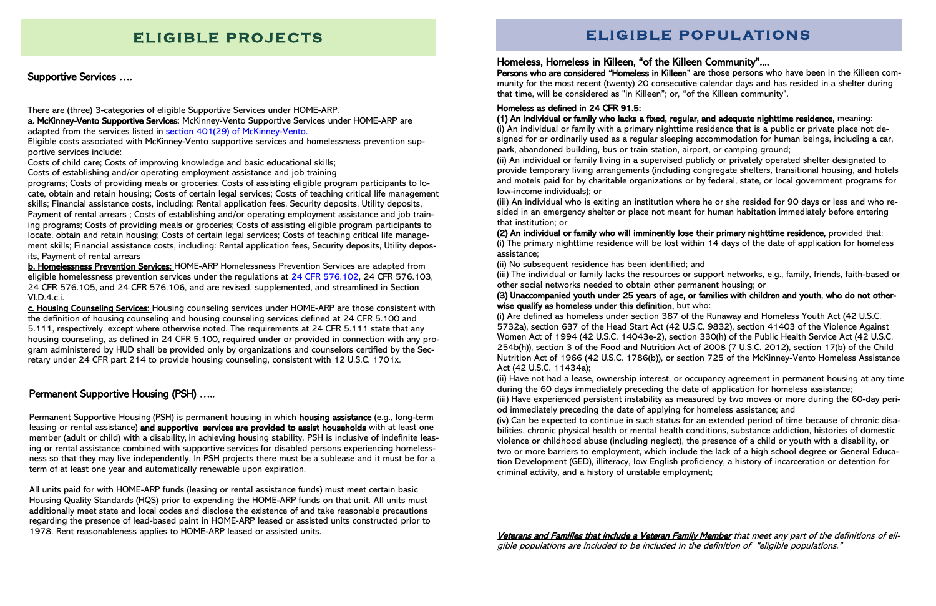### Permanent Supportive Housing (PSH) …..

Permanent Supportive Housing (PSH) is permanent housing in which housing assistance (e.g., long-term leasing or rental assistance) and supportive services are provided to assist households with at least one member (adult or child) with a disability, in achieving housing stability. PSH is inclusive of indefinite leasing or rental assistance combined with supportive services for disabled persons experiencing homelessness so that they may live independently. In PSH projects there must be a sublease and it must be for a term of at least one year and automatically renewable upon expiration.

There are (three) 3-categories of eligible Supportive Services under HOME-ARP. a. McKinney-Vento Supportive Services: McKinney-Vento Supportive Services under HOME-ARP are adapted from the services listed in **section 401(29)** of McKinney-Vento.

All units paid for with HOME-ARP funds (leasing or rental assistance funds) must meet certain basic Housing Quality Standards (HQS) prior to expending the HOME-ARP funds on that unit. All units must additionally meet state and local codes and disclose the existence of and take reasonable precautions regarding the presence of lead-based paint in HOME-ARP leased or assisted units constructed prior to 1978. Rent reasonableness applies to HOME-ARP leased or assisted units.

## **ELIGIBLE PROJECTS And SELIGIBLE POPULATIONS**

### Supportive Services ….

Eligible costs associated with McKinney-Vento supportive services and homelessness prevention supportive services include:

Costs of child care; Costs of improving knowledge and basic educational skills;

Costs of establishing and/or operating employment assistance and job training

programs; Costs of providing meals or groceries; Costs of assisting eligible program participants to locate, obtain and retain housing; Costs of certain legal services; Costs of teaching critical life management skills; Financial assistance costs, including: Rental application fees, Security deposits, Utility deposits, Payment of rental arrears ; Costs of establishing and/or operating employment assistance and job training programs; Costs of providing meals or groceries; Costs of assisting eligible program participants to locate, obtain and retain housing; Costs of certain legal services; Costs of teaching critical life management skills; Financial assistance costs, including: Rental application fees, Security deposits, Utility deposits, Payment of rental arrears

b. Homelessness Prevention Services: HOME-ARP Homelessness Prevention Services are adapted from eligible homelessness prevention services under the regulations at  $24$  CFR 576.102, 24 CFR 576.103, 24 CFR 576.105, and 24 CFR 576.106, and are revised, supplemented, and streamlined in Section VI.D.4.c.i.

c. Housing Counseling Services: Housing counseling services under HOME-ARP are those consistent with the definition of housing counseling and housing counseling services defined at 24 CFR 5.100 and 5.111, respectively, except where otherwise noted. The requirements at 24 CFR 5.111 state that any housing counseling, as defined in 24 CFR 5.100, required under or provided in connection with any program administered by HUD shall be provided only by organizations and counselors certified by the Secretary under 24 CFR part 214 to provide housing counseling, consistent with 12 U.S.C. 1701x.

> Veterans and Families that include a Veteran Family Member that meet any part of the definitions of eligible populations are included to be included in the definition of "eligible populations."

Homeless, Homeless in Killeen, "of the Killeen Community".... Persons who are considered "Homeless in Killeen" are those persons who have been in the Killeen community for the most recent (twenty) 20 consecutive calendar days and has resided in a shelter during that time, will be considered as "in Killeen"; or, "of the Killeen community".

#### Homeless as defined in [24 CFR 91.5:](https://www.ecfr.gov/current/title-24/subtitle-A/part-5)

#### (1) An individual or family who lacks a fixed, regular, and adequate nighttime residence, meaning:

(i) An individual or family with a primary nighttime residence that is a public or private place not designed for or ordinarily used as a regular sleeping accommodation for human beings, including a car, park, abandoned building, bus or train station, airport, or camping ground; (ii) An individual or family living in a supervised publicly or privately operated shelter designated to provide temporary living arrangements (including congregate shelters, transitional housing, and hotels and motels paid for by charitable organizations or by federal, state, or local government programs for low-income individuals); or

(iii) An individual who is exiting an institution where he or she resided for 90 days or less and who resided in an emergency shelter or place not meant for human habitation immediately before entering that institution; or

(2) An individual or family who will imminently lose their primary nighttime residence, provided that: (i) The primary nighttime residence will be lost within 14 days of the date of application for homeless

assistance;

(ii) No subsequent residence has been identified; and (iii) The individual or family lacks the resources or support networks, e.g., family, friends, faith-based or other social networks needed to obtain other permanent housing; or

# (3) Unaccompanied youth under 25 years of age, or families with children and youth, who do not other-

wise qualify as homeless under this definition, but who:

(i) Are defined as homeless under section 387 of the Runaway and Homeless Youth Act (42 U.S.C. 5732a), section 637 of the Head Start Act (42 U.S.C. 9832), section 41403 of the Violence Against Women Act of 1994 (42 U.S.C. 14043e-2), section 330(h) of the Public Health Service Act (42 U.S.C. 254b(h)), section 3 of the Food and Nutrition Act of 2008 (7 U.S.C. 2012), section 17(b) of the Child Nutrition Act of 1966 (42 U.S.C. 1786(b)), or section 725 of the McKinney-Vento Homeless Assistance Act (42 U.S.C. 11434a);

(ii) Have not had a lease, ownership interest, or occupancy agreement in permanent housing at any time during the 60 days immediately preceding the date of application for homeless assistance; (iii) Have experienced persistent instability as measured by two moves or more during the 60-day period immediately preceding the date of applying for homeless assistance; and (iv) Can be expected to continue in such status for an extended period of time because of chronic disabilities, chronic physical health or mental health conditions, substance addiction, histories of domestic violence or childhood abuse (including neglect), the presence of a child or youth with a disability, or two or more barriers to employment, which include the lack of a high school degree or General Education Development (GED), illiteracy, low English proficiency, a history of incarceration or detention for criminal activity, and a history of unstable employment;